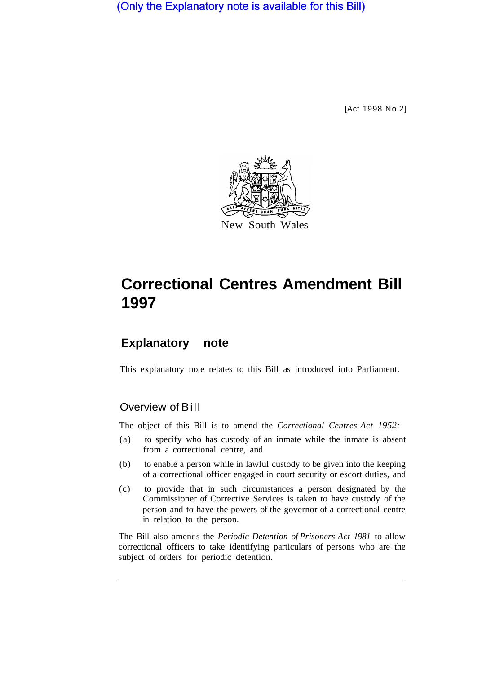(Only the Explanatory note is available for this Bill)

[Act 1998 No 2]



# **Correctional Centres Amendment Bill 1997**

# **Explanatory note**

This explanatory note relates to this Bill as introduced into Parliament.

# Overview of Bill

The object of this Bill is to amend the *Correctional Centres Act 1952:* 

- (a) to specify who has custody of an inmate while the inmate is absent from a correctional centre, and
- (b) to enable a person while in lawful custody to be given into the keeping of a correctional officer engaged in court security or escort duties, and
- (c) to provide that in such circumstances a person designated by the Commissioner of Corrective Services is taken to have custody of the person and to have the powers of the governor of a correctional centre in relation to the person.

The Bill also amends the *Periodic Detention of Prisoners Act 1981* to allow correctional officers to take identifying particulars of persons who are the subject of orders for periodic detention.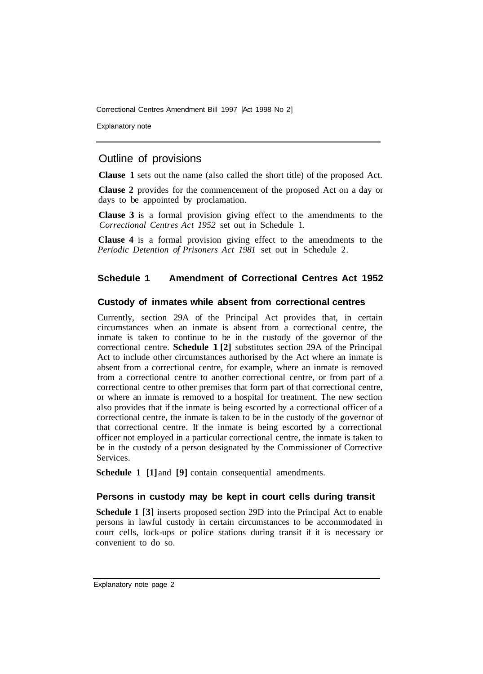Correctional Centres Amendment Bill 1997 [Act 1998 No 2]

Explanatory note

# Outline of provisions

**Clause 1** sets out the name (also called the short title) of the proposed Act.

**Clause 2** provides for the commencement of the proposed Act on a day or days to be appointed by proclamation.

**Clause 3** is a formal provision giving effect to the amendments to the *Correctional Centres Act 1952* set out in Schedule 1.

**Clause 4** is a formal provision giving effect to the amendments to the *Periodic Detention of Prisoners Act 1981* set out in Schedule 2.

# **Schedule 1 Amendment of Correctional Centres Act 1952**

#### **Custody of inmates while absent from correctional centres**

Currently, section 29A of the Principal Act provides that, in certain circumstances when an inmate is absent from a correctional centre, the inmate is taken to continue to be in the custody of the governor of the correctional centre. **Schedule 1 [2]** substitutes section 29A of the Principal Act to include other circumstances authorised by the Act where an inmate is absent from a correctional centre, for example, where an inmate is removed from a correctional centre to another correctional centre, or from part of a correctional centre to other premises that form part of that correctional centre, or where an inmate is removed to a hospital for treatment. The new section also provides that if the inmate is being escorted by a correctional officer of a correctional centre, the inmate is taken to be in the custody of the governor of that correctional centre. If the inmate is being escorted by a correctional officer not employed in a particular correctional centre, the inmate is taken to be in the custody of a person designated by the Commissioner of Corrective Services.

**Schedule 1 [1]** and **[9]** contain consequential amendments.

#### **Persons in custody may be kept in court cells during transit**

**Schedule 1 [3]** inserts proposed section 29D into the Principal Act to enable persons in lawful custody in certain circumstances to be accommodated in court cells, lock-ups or police stations during transit if it is necessary or convenient to do so.